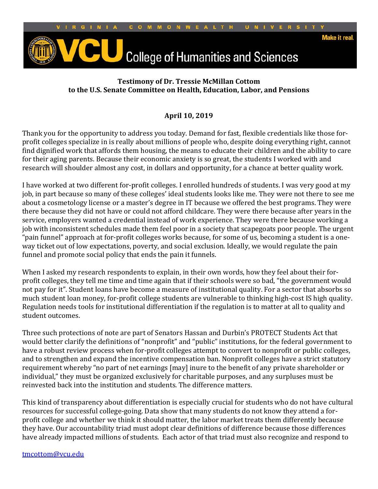

## **Testimony of Dr. Tressie McMillan Cottom to the U.S. Senate Committee on Health, Education, Labor, and Pensions**

## **April 10, 2019**

Thank you for the opportunity to address you today. Demand for fast, flexible credentials like those forprofit colleges specialize in is really about millions of people who, despite doing everything right, cannot find dignified work that affords them housing, the means to educate their children and the ability to care for their aging parents. Because their economic anxiety is so great, the students I worked with and research will shoulder almost any cost, in dollars and opportunity, for a chance at better quality work.

I have worked at two different for-profit colleges. I enrolled hundreds of students. I was very good at my job, in part because so many of these colleges' ideal students looks like me. They were not there to see me about a cosmetology license or a master's degree in IT because we offered the best programs. They were there because they did not have or could not afford childcare. They were there because after years in the service, employers wanted a credential instead of work experience. They were there because working a job with inconsistent schedules made them feel poor in a society that scapegoats poor people. The urgent "pain funnel" approach at for-profit colleges works because, for some of us, becoming a student is a oneway ticket out of low expectations, poverty, and social exclusion. Ideally, we would regulate the pain funnel and promote social policy that ends the pain it funnels.

When I asked my research respondents to explain, in their own words, how they feel about their forprofit colleges, they tell me time and time again that if their schools were so bad, "the government would not pay for it". Student loans have become a measure of institutional quality. For a sector that absorbs so much student loan money, for-profit college students are vulnerable to thinking high-cost IS high quality. Regulation needs tools for institutional differentiation if the regulation is to matter at all to quality and student outcomes.

Three such protections of note are part of Senators Hassan and Durbin's PROTECT Students Act that would better clarify the definitions of "nonprofit" and "public" institutions, for the federal government to have a robust review process when for-profit colleges attempt to convert to nonprofit or public colleges, and to strengthen and expand the incentive compensation ban. Nonprofit colleges have a strict statutory requirement whereby "no part of net earnings [may] inure to the benefit of any private shareholder or individual," they must be organized exclusively for charitable purposes, and any surpluses must be reinvested back into the institution and students. The difference matters.

This kind of transparency about differentiation is especially crucial for students who do not have cultural resources for successful college-going. Data show that many students do not know they attend a forprofit college and whether we think it should matter, the labor market treats them differently because they have. Our accountability triad must adopt clear definitions of difference because those differences have already impacted millions of students. Each actor of that triad must also recognize and respond to